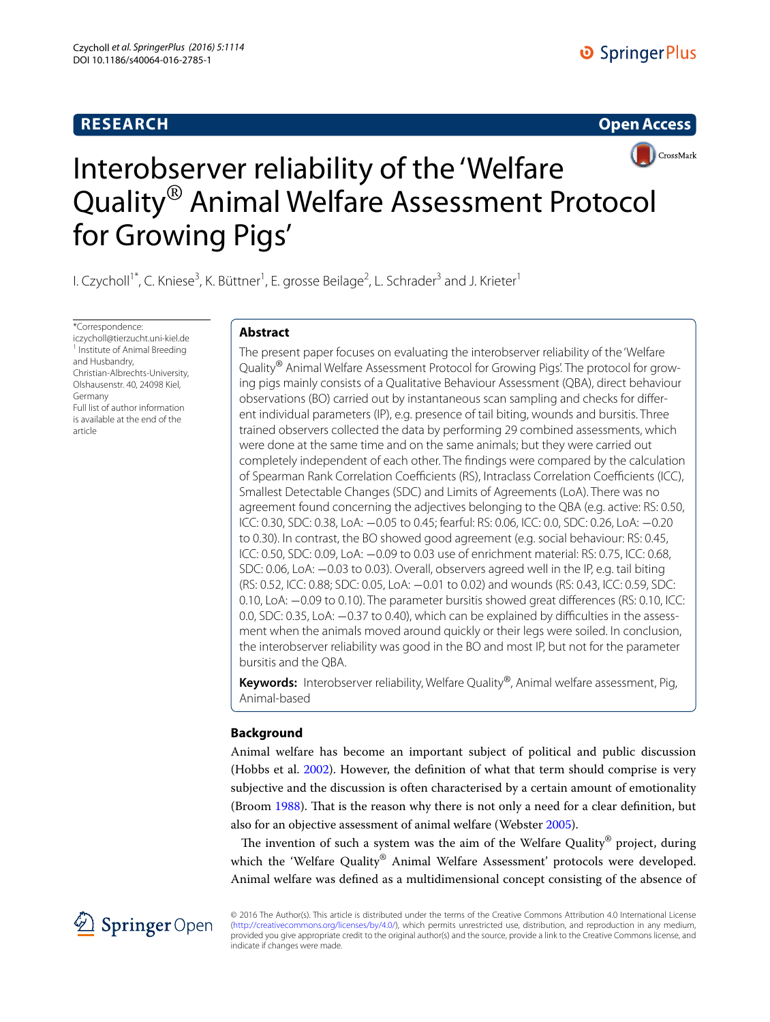# **RESEARCH**

## **Open Access**



# Interobserver reliability of the 'Welfare Quality® Animal Welfare Assessment Protocol for Growing Pigs'

l. Czycholl<sup>1\*</sup>, C. Kniese<sup>3</sup>, K. Büttner<sup>1</sup>, E. grosse Beilage<sup>2</sup>, L. Schrader<sup>3</sup> and J. Krieter<sup>1</sup>

\*Correspondence: iczycholl@tierzucht.uni-kiel.de 1 <sup>1</sup> Institute of Animal Breeding and Husbandry, Christian-Albrechts-University, Olshausenstr. 40, 24098 Kiel, Germany Full list of author information is available at the end of the article

# **Abstract**

The present paper focuses on evaluating the interobserver reliability of the 'Welfare Quality® Animal Welfare Assessment Protocol for Growing Pigs'. The protocol for growing pigs mainly consists of a Qualitative Behaviour Assessment (QBA), direct behaviour observations (BO) carried out by instantaneous scan sampling and checks for different individual parameters (IP), e.g. presence of tail biting, wounds and bursitis. Three trained observers collected the data by performing 29 combined assessments, which were done at the same time and on the same animals; but they were carried out completely independent of each other. The findings were compared by the calculation of Spearman Rank Correlation Coefficients (RS), Intraclass Correlation Coefficients (ICC), Smallest Detectable Changes (SDC) and Limits of Agreements (LoA). There was no agreement found concerning the adjectives belonging to the QBA (e.g. active: RS: 0.50, ICC: 0.30, SDC: 0.38, LoA: −0.05 to 0.45; fearful: RS: 0.06, ICC: 0.0, SDC: 0.26, LoA: −0.20 to 0.30). In contrast, the BO showed good agreement (e.g. social behaviour: RS: 0.45, ICC: 0.50, SDC: 0.09, LoA: −0.09 to 0.03 use of enrichment material: RS: 0.75, ICC: 0.68, SDC: 0.06, LoA: −0.03 to 0.03). Overall, observers agreed well in the IP, e.g. tail biting (RS: 0.52, ICC: 0.88; SDC: 0.05, LoA: −0.01 to 0.02) and wounds (RS: 0.43, ICC: 0.59, SDC: 0.10, LoA: −0.09 to 0.10). The parameter bursitis showed great differences (RS: 0.10, ICC: 0.0, SDC: 0.35, LoA: −0.37 to 0.40), which can be explained by difficulties in the assessment when the animals moved around quickly or their legs were soiled. In conclusion, the interobserver reliability was good in the BO and most IP, but not for the parameter bursitis and the QBA.

**Keywords:** Interobserver reliability, Welfare Quality®, Animal welfare assessment, Pig, Animal-based

# **Background**

Animal welfare has become an important subject of political and public discussion (Hobbs et al. [2002\)](#page-12-0). However, the definition of what that term should comprise is very subjective and the discussion is often characterised by a certain amount of emotionality (Broom [1988](#page-12-1)). That is the reason why there is not only a need for a clear definition, but also for an objective assessment of animal welfare (Webster [2005](#page-12-2)).

The invention of such a system was the aim of the Welfare Quality<sup>®</sup> project, during which the 'Welfare Quality® Animal Welfare Assessment' protocols were developed. Animal welfare was defined as a multidimensional concept consisting of the absence of



© 2016 The Author(s). This article is distributed under the terms of the Creative Commons Attribution 4.0 International License [\(http://creativecommons.org/licenses/by/4.0/](http://creativecommons.org/licenses/by/4.0/)), which permits unrestricted use, distribution, and reproduction in any medium, provided you give appropriate credit to the original author(s) and the source, provide a link to the Creative Commons license, and indicate if changes were made.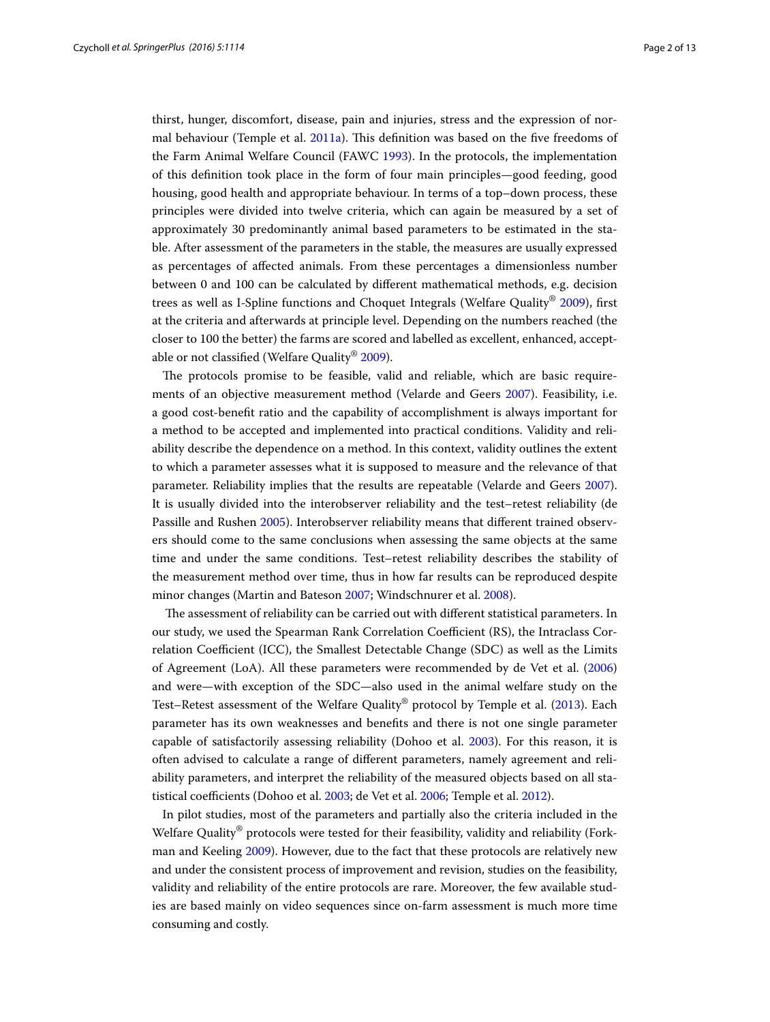thirst, hunger, discomfort, disease, pain and injuries, stress and the expression of normal behaviour (Temple et al. [2011a](#page-12-3)). This definition was based on the five freedoms of the Farm Animal Welfare Council (FAWC [1993\)](#page-12-4). In the protocols, the implementation of this definition took place in the form of four main principles—good feeding, good housing, good health and appropriate behaviour. In terms of a top–down process, these principles were divided into twelve criteria, which can again be measured by a set of approximately 30 predominantly animal based parameters to be estimated in the stable. After assessment of the parameters in the stable, the measures are usually expressed as percentages of affected animals. From these percentages a dimensionless number between 0 and 100 can be calculated by different mathematical methods, e.g. decision trees as well as I-Spline functions and Choquet Integrals (Welfare Quality<sup>®</sup> [2009\)](#page-12-5), first at the criteria and afterwards at principle level. Depending on the numbers reached (the closer to 100 the better) the farms are scored and labelled as excellent, enhanced, acceptable or not classified (Welfare Quality® [2009\)](#page-12-5).

The protocols promise to be feasible, valid and reliable, which are basic requirements of an objective measurement method (Velarde and Geers [2007\)](#page-12-6). Feasibility, i.e. a good cost-benefit ratio and the capability of accomplishment is always important for a method to be accepted and implemented into practical conditions. Validity and reliability describe the dependence on a method. In this context, validity outlines the extent to which a parameter assesses what it is supposed to measure and the relevance of that parameter. Reliability implies that the results are repeatable (Velarde and Geers [2007](#page-12-6)). It is usually divided into the interobserver reliability and the test–retest reliability (de Passille and Rushen [2005](#page-12-7)). Interobserver reliability means that different trained observers should come to the same conclusions when assessing the same objects at the same time and under the same conditions. Test–retest reliability describes the stability of the measurement method over time, thus in how far results can be reproduced despite minor changes (Martin and Bateson [2007;](#page-12-8) Windschnurer et al. [2008\)](#page-12-9).

 The assessment of reliability can be carried out with different statistical parameters. In our study, we used the Spearman Rank Correlation Coefficient (RS), the Intraclass Correlation Coefficient (ICC), the Smallest Detectable Change (SDC) as well as the Limits of Agreement (LoA). All these parameters were recommended by de Vet et al. ([2006](#page-12-10)) and were—with exception of the SDC—also used in the animal welfare study on the Test–Retest assessment of the Welfare Quality® protocol by Temple et al. [\(2013](#page-12-11)). Each parameter has its own weaknesses and benefits and there is not one single parameter capable of satisfactorily assessing reliability (Dohoo et al. [2003](#page-12-12)). For this reason, it is often advised to calculate a range of different parameters, namely agreement and reliability parameters, and interpret the reliability of the measured objects based on all statistical coefficients (Dohoo et al. [2003;](#page-12-12) de Vet et al. [2006;](#page-12-10) Temple et al. [2012](#page-12-13)).

In pilot studies, most of the parameters and partially also the criteria included in the Welfare Quality® protocols were tested for their feasibility, validity and reliability (Forkman and Keeling [2009\)](#page-12-14). However, due to the fact that these protocols are relatively new and under the consistent process of improvement and revision, studies on the feasibility, validity and reliability of the entire protocols are rare. Moreover, the few available studies are based mainly on video sequences since on-farm assessment is much more time consuming and costly.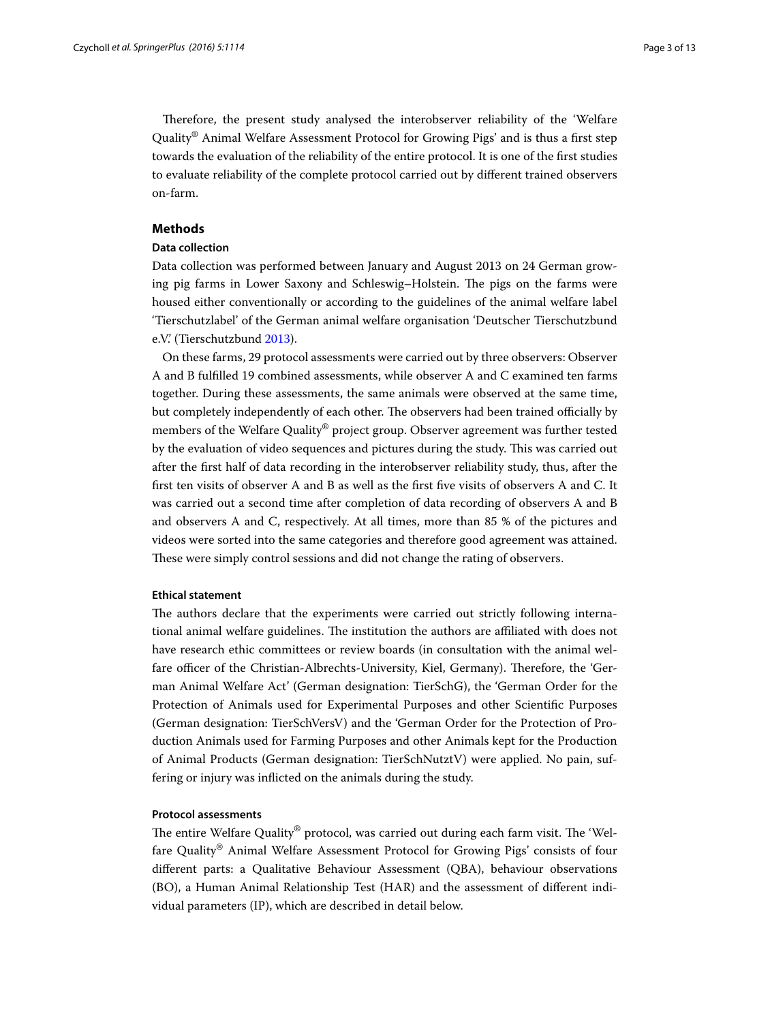Therefore, the present study analysed the interobserver reliability of the 'Welfare Quality® Animal Welfare Assessment Protocol for Growing Pigs' and is thus a first step towards the evaluation of the reliability of the entire protocol. It is one of the first studies to evaluate reliability of the complete protocol carried out by different trained observers on-farm.

#### **Methods**

#### **Data collection**

Data collection was performed between January and August 2013 on 24 German growing pig farms in Lower Saxony and Schleswig–Holstein. The pigs on the farms were housed either conventionally or according to the guidelines of the animal welfare label 'Tierschutzlabel' of the German animal welfare organisation 'Deutscher Tierschutzbund e.V.' (Tierschutzbund [2013\)](#page-12-15).

On these farms, 29 protocol assessments were carried out by three observers: Observer A and B fulfilled 19 combined assessments, while observer A and C examined ten farms together. During these assessments, the same animals were observed at the same time, but completely independently of each other. The observers had been trained officially by members of the Welfare Quality® project group. Observer agreement was further tested by the evaluation of video sequences and pictures during the study. This was carried out after the first half of data recording in the interobserver reliability study, thus, after the first ten visits of observer A and B as well as the first five visits of observers A and C. It was carried out a second time after completion of data recording of observers A and B and observers A and C, respectively. At all times, more than 85 % of the pictures and videos were sorted into the same categories and therefore good agreement was attained. These were simply control sessions and did not change the rating of observers.

#### **Ethical statement**

The authors declare that the experiments were carried out strictly following international animal welfare guidelines. The institution the authors are affiliated with does not have research ethic committees or review boards (in consultation with the animal welfare officer of the Christian-Albrechts-University, Kiel, Germany). Therefore, the 'German Animal Welfare Act' (German designation: TierSchG), the 'German Order for the Protection of Animals used for Experimental Purposes and other Scientific Purposes (German designation: TierSchVersV) and the 'German Order for the Protection of Production Animals used for Farming Purposes and other Animals kept for the Production of Animal Products (German designation: TierSchNutztV) were applied. No pain, suffering or injury was inflicted on the animals during the study.

#### **Protocol assessments**

The entire Welfare Quality® protocol, was carried out during each farm visit. The 'Welfare Quality® Animal Welfare Assessment Protocol for Growing Pigs' consists of four different parts: a Qualitative Behaviour Assessment (QBA), behaviour observations (BO), a Human Animal Relationship Test (HAR) and the assessment of different individual parameters (IP), which are described in detail below.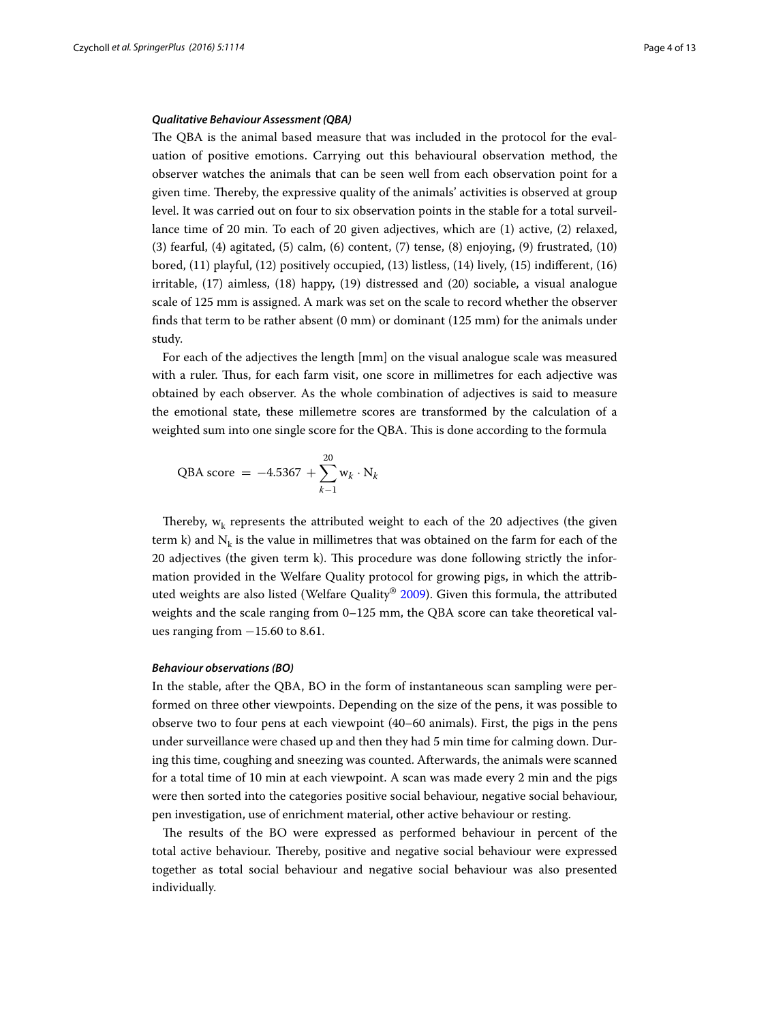#### *Qualitative Behaviour Assessment (QBA)*

The QBA is the animal based measure that was included in the protocol for the evaluation of positive emotions. Carrying out this behavioural observation method, the observer watches the animals that can be seen well from each observation point for a given time. Thereby, the expressive quality of the animals' activities is observed at group level. It was carried out on four to six observation points in the stable for a total surveillance time of 20 min. To each of 20 given adjectives, which are (1) active, (2) relaxed, (3) fearful, (4) agitated, (5) calm, (6) content, (7) tense, (8) enjoying, (9) frustrated, (10) bored, (11) playful, (12) positively occupied, (13) listless, (14) lively, (15) indifferent, (16) irritable, (17) aimless, (18) happy, (19) distressed and (20) sociable, a visual analogue scale of 125 mm is assigned. A mark was set on the scale to record whether the observer finds that term to be rather absent (0 mm) or dominant (125 mm) for the animals under study.

For each of the adjectives the length [mm] on the visual analogue scale was measured with a ruler. Thus, for each farm visit, one score in millimetres for each adjective was obtained by each observer. As the whole combination of adjectives is said to measure the emotional state, these millemetre scores are transformed by the calculation of a weighted sum into one single score for the QBA. This is done according to the formula

$$
QBA score = -4.5367 + \sum_{k=1}^{20} w_k \cdot N_k
$$

Thereby,  $w_k$  represents the attributed weight to each of the 20 adjectives (the given term k) and  $N_k$  is the value in millimetres that was obtained on the farm for each of the 20 adjectives (the given term k). This procedure was done following strictly the information provided in the Welfare Quality protocol for growing pigs, in which the attributed weights are also listed (Welfare Quality® [2009](#page-12-5)). Given this formula, the attributed weights and the scale ranging from 0–125 mm, the QBA score can take theoretical values ranging from  $-15.60$  to 8.61.

#### *Behaviour observations (BO)*

In the stable, after the QBA, BO in the form of instantaneous scan sampling were performed on three other viewpoints. Depending on the size of the pens, it was possible to observe two to four pens at each viewpoint (40–60 animals). First, the pigs in the pens under surveillance were chased up and then they had 5 min time for calming down. During this time, coughing and sneezing was counted. Afterwards, the animals were scanned for a total time of 10 min at each viewpoint. A scan was made every 2 min and the pigs were then sorted into the categories positive social behaviour, negative social behaviour, pen investigation, use of enrichment material, other active behaviour or resting.

The results of the BO were expressed as performed behaviour in percent of the total active behaviour. Thereby, positive and negative social behaviour were expressed together as total social behaviour and negative social behaviour was also presented individually.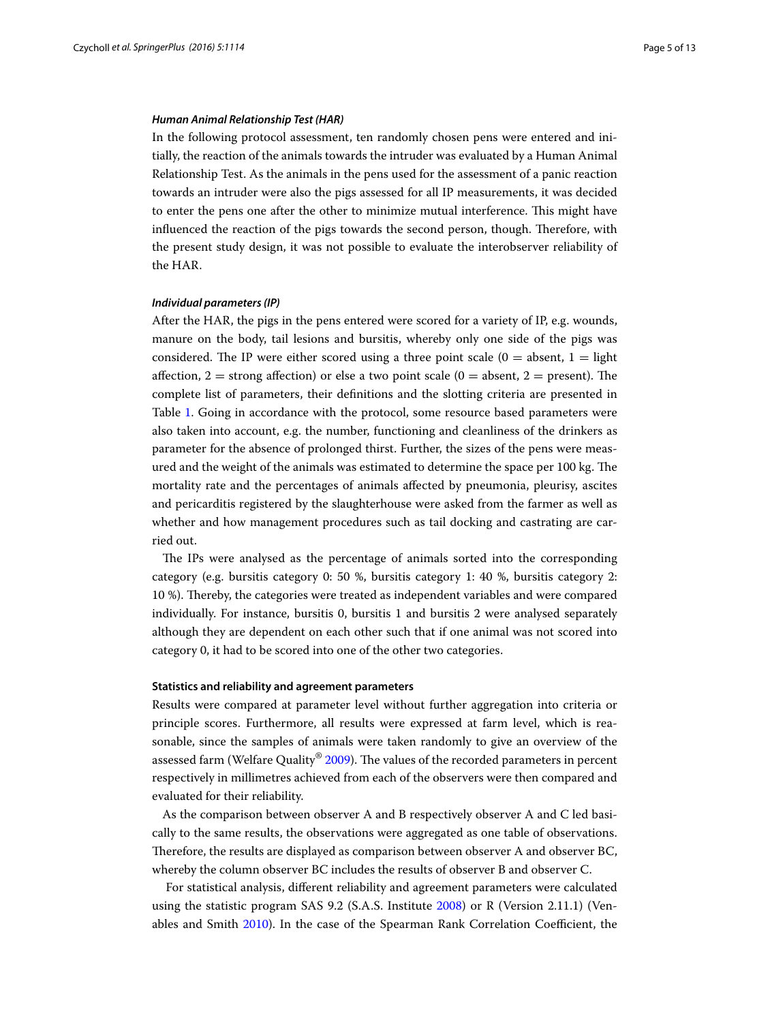#### *Human Animal Relationship Test (HAR)*

In the following protocol assessment, ten randomly chosen pens were entered and initially, the reaction of the animals towards the intruder was evaluated by a Human Animal Relationship Test. As the animals in the pens used for the assessment of a panic reaction towards an intruder were also the pigs assessed for all IP measurements, it was decided to enter the pens one after the other to minimize mutual interference. This might have influenced the reaction of the pigs towards the second person, though. Therefore, with the present study design, it was not possible to evaluate the interobserver reliability of the HAR.

#### *Individual parameters (IP)*

After the HAR, the pigs in the pens entered were scored for a variety of IP, e.g. wounds, manure on the body, tail lesions and bursitis, whereby only one side of the pigs was considered. The IP were either scored using a three point scale  $(0 = \text{absent}, 1 = \text{light}$ affection,  $2 =$  strong affection) or else a two point scale ( $0 =$  absent,  $2 =$  present). The complete list of parameters, their definitions and the slotting criteria are presented in Table [1.](#page-5-0) Going in accordance with the protocol, some resource based parameters were also taken into account, e.g. the number, functioning and cleanliness of the drinkers as parameter for the absence of prolonged thirst. Further, the sizes of the pens were measured and the weight of the animals was estimated to determine the space per 100 kg. The mortality rate and the percentages of animals affected by pneumonia, pleurisy, ascites and pericarditis registered by the slaughterhouse were asked from the farmer as well as whether and how management procedures such as tail docking and castrating are carried out.

The IPs were analysed as the percentage of animals sorted into the corresponding category (e.g. bursitis category 0: 50 %, bursitis category 1: 40 %, bursitis category 2: 10 %). Thereby, the categories were treated as independent variables and were compared individually. For instance, bursitis 0, bursitis 1 and bursitis 2 were analysed separately although they are dependent on each other such that if one animal was not scored into category 0, it had to be scored into one of the other two categories.

#### **Statistics and reliability and agreement parameters**

Results were compared at parameter level without further aggregation into criteria or principle scores. Furthermore, all results were expressed at farm level, which is reasonable, since the samples of animals were taken randomly to give an overview of the assessed farm (Welfare Quality® [2009](#page-12-5)). The values of the recorded parameters in percent respectively in millimetres achieved from each of the observers were then compared and evaluated for their reliability.

As the comparison between observer A and B respectively observer A and C led basically to the same results, the observations were aggregated as one table of observations. Therefore, the results are displayed as comparison between observer A and observer BC, whereby the column observer BC includes the results of observer B and observer C.

 For statistical analysis, different reliability and agreement parameters were calculated using the statistic program SAS 9.2 (S.A.S. Institute [2008](#page-12-16)) or R (Version 2.11.1) (Venables and Smith [2010\)](#page-12-17). In the case of the Spearman Rank Correlation Coefficient, the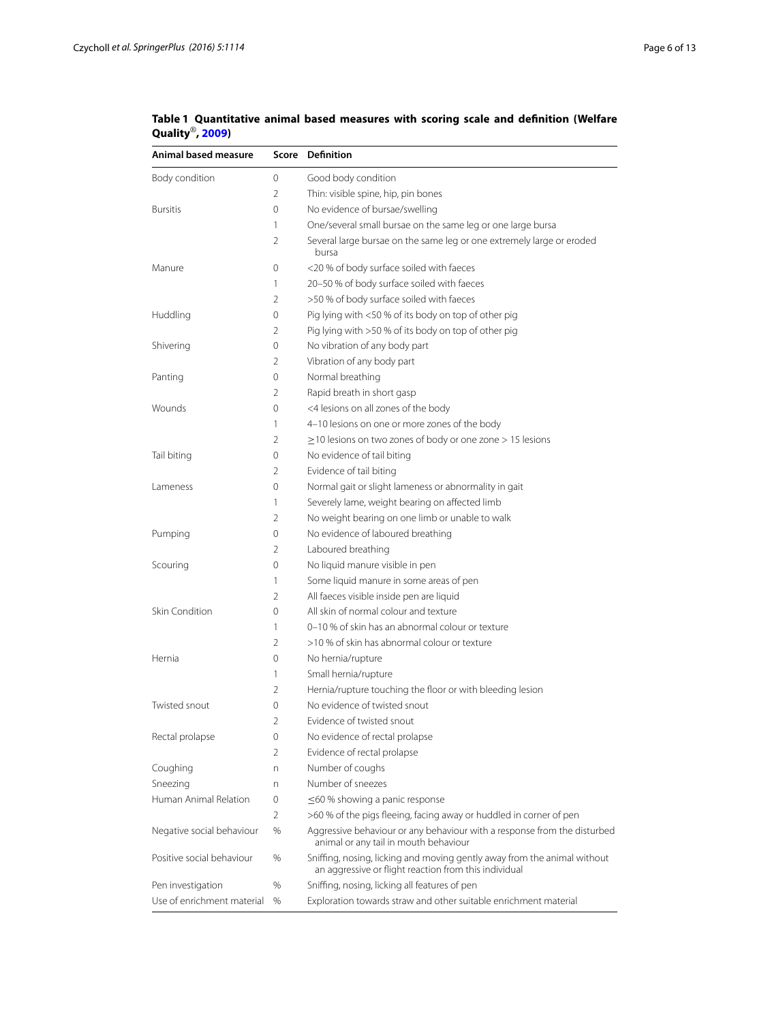| Animal based measure       |                | Score Definition                                                                                                                  |
|----------------------------|----------------|-----------------------------------------------------------------------------------------------------------------------------------|
| Body condition             | 0              | Good body condition                                                                                                               |
|                            | 2              | Thin: visible spine, hip, pin bones                                                                                               |
| <b>Bursitis</b>            | 0              | No evidence of bursae/swelling                                                                                                    |
|                            | 1              | One/several small bursae on the same leg or one large bursa                                                                       |
|                            | 2              | Several large bursae on the same leg or one extremely large or eroded<br>bursa                                                    |
| Manure                     | 0              | <20 % of body surface soiled with faeces                                                                                          |
|                            | 1              | 20-50 % of body surface soiled with faeces                                                                                        |
|                            | 2              | >50 % of body surface soiled with faeces                                                                                          |
| Huddling                   | 0              | Pig lying with <50 % of its body on top of other pig                                                                              |
|                            | 2              | Pig lying with >50 % of its body on top of other pig                                                                              |
| Shivering                  | 0              | No vibration of any body part                                                                                                     |
|                            | 2              | Vibration of any body part                                                                                                        |
| Panting                    | 0              | Normal breathing                                                                                                                  |
|                            | 2              | Rapid breath in short gasp                                                                                                        |
| Wounds                     | 0              | <4 lesions on all zones of the body                                                                                               |
|                            | 1              | 4-10 lesions on one or more zones of the body                                                                                     |
|                            | 2              | $\geq$ 10 lesions on two zones of body or one zone > 15 lesions                                                                   |
| Tail biting                | 0              | No evidence of tail biting                                                                                                        |
|                            | 2              | Evidence of tail biting                                                                                                           |
| Lameness                   | 0              | Normal gait or slight lameness or abnormality in gait                                                                             |
|                            | 1              | Severely lame, weight bearing on affected limb                                                                                    |
|                            | 2              | No weight bearing on one limb or unable to walk                                                                                   |
| Pumping                    | 0              | No evidence of laboured breathing                                                                                                 |
|                            | 2              | Laboured breathing                                                                                                                |
| Scouring                   | 0              | No liquid manure visible in pen                                                                                                   |
|                            | 1              | Some liquid manure in some areas of pen                                                                                           |
|                            | $\overline{2}$ | All faeces visible inside pen are liquid                                                                                          |
| Skin Condition             | 0              | All skin of normal colour and texture                                                                                             |
|                            | 1              | 0-10 % of skin has an abnormal colour or texture                                                                                  |
|                            | 2              | >10 % of skin has abnormal colour or texture                                                                                      |
| Hernia                     | 0              | No hernia/rupture                                                                                                                 |
|                            | 1              | Small hernia/rupture                                                                                                              |
|                            | 2              | Hernia/rupture touching the floor or with bleeding lesion                                                                         |
| Twisted snout              | 0              | No evidence of twisted snout                                                                                                      |
|                            | 2              | Evidence of twisted snout                                                                                                         |
| Rectal prolapse            | 0              | No evidence of rectal prolapse                                                                                                    |
|                            | 2              | Evidence of rectal prolapse                                                                                                       |
| Coughing                   | n              | Number of coughs                                                                                                                  |
| Sneezing                   | n              | Number of sneezes                                                                                                                 |
| Human Animal Relation      | 0              | $\leq$ 60 % showing a panic response                                                                                              |
|                            | $\overline{2}$ | >60 % of the pigs fleeing, facing away or huddled in corner of pen                                                                |
| Negative social behaviour  | %              | Aggressive behaviour or any behaviour with a response from the disturbed<br>animal or any tail in mouth behaviour                 |
| Positive social behaviour  | %              | Sniffing, nosing, licking and moving gently away from the animal without<br>an aggressive or flight reaction from this individual |
| Pen investigation          | %              | Sniffing, nosing, licking all features of pen                                                                                     |
| Use of enrichment material | %              | Exploration towards straw and other suitable enrichment material                                                                  |

<span id="page-5-0"></span>**Table 1 Quantitative animal based measures with scoring scale and definition (Welfare Quality**®**, [2009](#page-12-5))**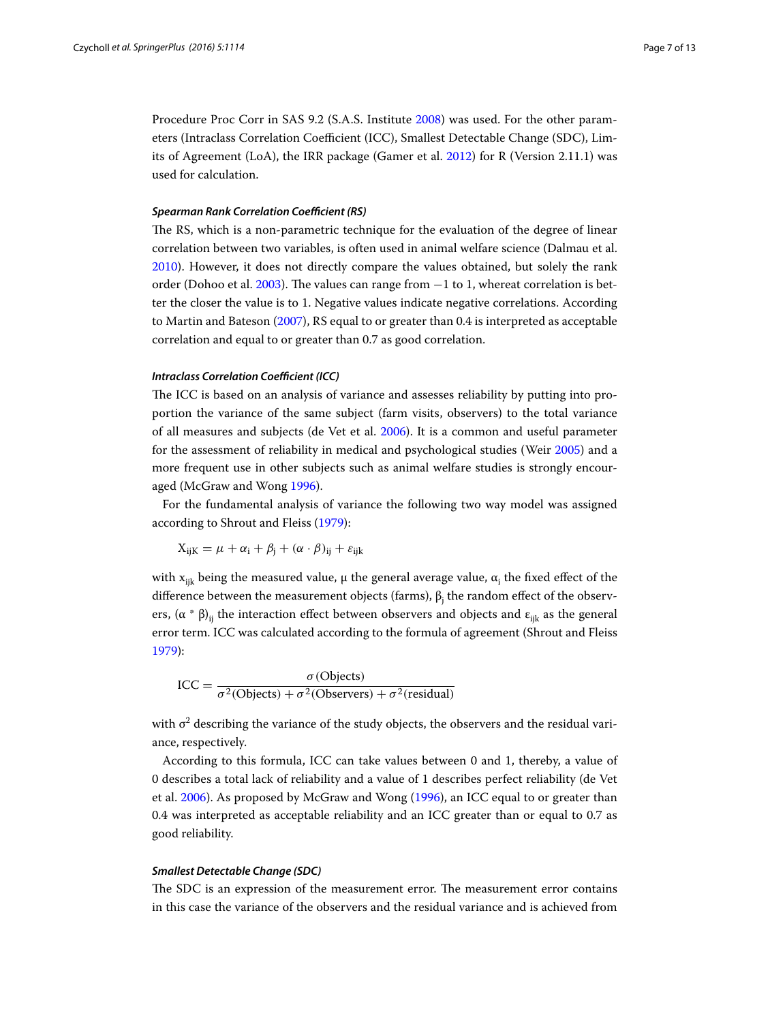Procedure Proc Corr in SAS 9.2 (S.A.S. Institute [2008](#page-12-16)) was used. For the other parameters (Intraclass Correlation Coefficient (ICC), Smallest Detectable Change (SDC), Limits of Agreement (LoA), the IRR package (Gamer et al. [2012](#page-12-18)) for R (Version 2.11.1) was used for calculation.

#### *Spearman Rank Correlation Coefficient (RS)*

The RS, which is a non-parametric technique for the evaluation of the degree of linear correlation between two variables, is often used in animal welfare science (Dalmau et al. [2010](#page-12-19)). However, it does not directly compare the values obtained, but solely the rank order (Dohoo et al. [2003\)](#page-12-12). The values can range from −1 to 1, whereat correlation is better the closer the value is to 1. Negative values indicate negative correlations. According to Martin and Bateson ([2007](#page-12-8)), RS equal to or greater than 0.4 is interpreted as acceptable correlation and equal to or greater than 0.7 as good correlation.

#### *Intraclass Correlation Coefficient (ICC)*

The ICC is based on an analysis of variance and assesses reliability by putting into proportion the variance of the same subject (farm visits, observers) to the total variance of all measures and subjects (de Vet et al. [2006](#page-12-10)). It is a common and useful parameter for the assessment of reliability in medical and psychological studies (Weir [2005](#page-12-20)) and a more frequent use in other subjects such as animal welfare studies is strongly encouraged (McGraw and Wong [1996](#page-12-21)).

For the fundamental analysis of variance the following two way model was assigned according to Shrout and Fleiss [\(1979\)](#page-12-22):

$$
X_{ijK} = \mu + \alpha_i + \beta_j + (\alpha \cdot \beta)_{ij} + \varepsilon_{ijk}
$$

with  $\mathrm{x}_{\mathsf{i}\mathsf{j}\mathsf{k}}$  being the measured value,  $\mu$  the general average value,  $\alpha_{\mathsf{i}}$  the fixed effect of the difference between the measurement objects (farms),  $\beta_{\mathfrak j}$  the random effect of the observers,  $(\alpha * \beta)_{ii}$  the interaction effect between observers and objects and  $\epsilon_{iik}$  as the general error term. ICC was calculated according to the formula of agreement (Shrout and Fleiss [1979](#page-12-22)):

$$
ICC = \frac{\sigma (Objects)}{\sigma^2 (Objects) + \sigma^2 (Observers) + \sigma^2 (residual)}
$$

with  $\sigma^2$  describing the variance of the study objects, the observers and the residual variance, respectively.

According to this formula, ICC can take values between 0 and 1, thereby, a value of 0 describes a total lack of reliability and a value of 1 describes perfect reliability (de Vet et al. [2006\)](#page-12-10). As proposed by McGraw and Wong ([1996\)](#page-12-21), an ICC equal to or greater than 0.4 was interpreted as acceptable reliability and an ICC greater than or equal to 0.7 as good reliability.

#### *Smallest Detectable Change (SDC)*

The SDC is an expression of the measurement error. The measurement error contains in this case the variance of the observers and the residual variance and is achieved from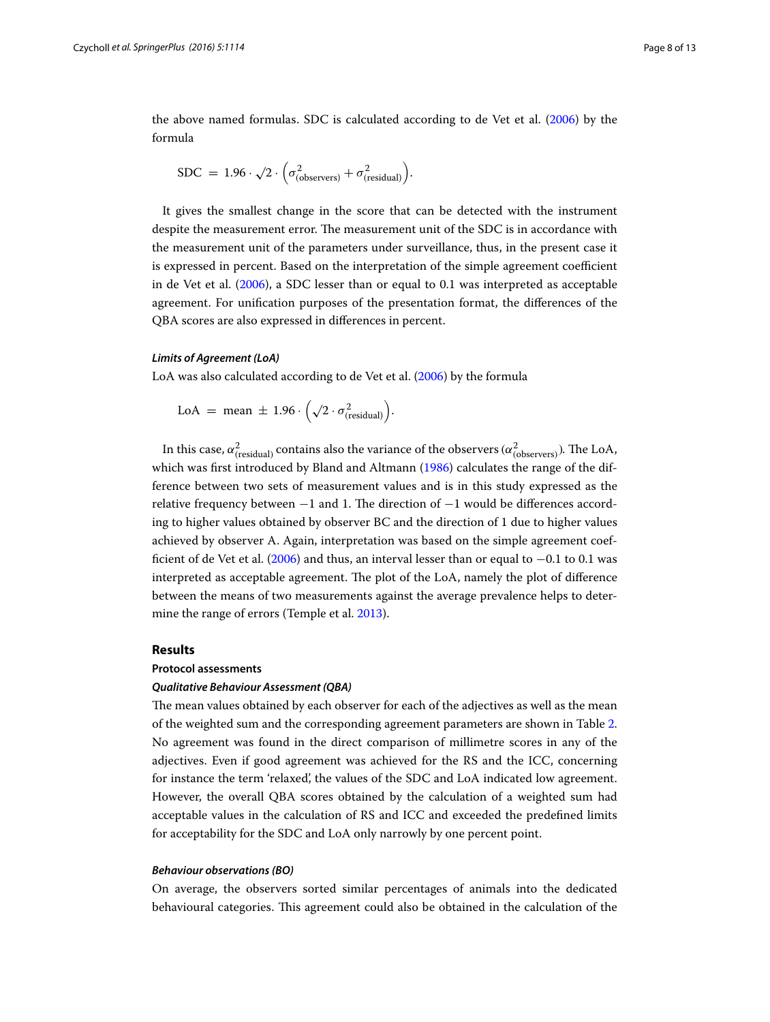the above named formulas. SDC is calculated according to de Vet et al. [\(2006\)](#page-12-10) by the formula

$$
SDC = 1.96 \cdot \sqrt{2} \cdot \left(\sigma_{\text{(observers)}}^2 + \sigma_{\text{(residual)}}^2\right).
$$

It gives the smallest change in the score that can be detected with the instrument despite the measurement error. The measurement unit of the SDC is in accordance with the measurement unit of the parameters under surveillance, thus, in the present case it is expressed in percent. Based on the interpretation of the simple agreement coefficient in de Vet et al. [\(2006](#page-12-10)), a SDC lesser than or equal to 0.1 was interpreted as acceptable agreement. For unification purposes of the presentation format, the differences of the QBA scores are also expressed in differences in percent.

#### *Limits of Agreement (LoA)*

LoA was also calculated according to de Vet et al. [\(2006](#page-12-10)) by the formula

$$
LoA = mean \pm 1.96 \cdot \left(\sqrt{2} \cdot \sigma_{\text{(residual)}}^2\right).
$$

In this case,  $\alpha_{\text{(residual)}}^2$  contains also the variance of the observers  $(\alpha_{\text{(observers)}}^2)$ . The LoA, which was first introduced by Bland and Altmann ([1986\)](#page-12-23) calculates the range of the difference between two sets of measurement values and is in this study expressed as the relative frequency between  $-1$  and 1. The direction of  $-1$  would be differences according to higher values obtained by observer BC and the direction of 1 due to higher values achieved by observer A. Again, interpretation was based on the simple agreement coefficient of de Vet et al. ([2006](#page-12-10)) and thus, an interval lesser than or equal to −0.1 to 0.1 was interpreted as acceptable agreement. The plot of the LoA, namely the plot of difference between the means of two measurements against the average prevalence helps to determine the range of errors (Temple et al. [2013\)](#page-12-11).

#### **Results**

#### **Protocol assessments**

#### *Qualitative Behaviour Assessment (QBA)*

The mean values obtained by each observer for each of the adjectives as well as the mean of the weighted sum and the corresponding agreement parameters are shown in Table [2](#page-8-0). No agreement was found in the direct comparison of millimetre scores in any of the adjectives. Even if good agreement was achieved for the RS and the ICC, concerning for instance the term 'relaxed', the values of the SDC and LoA indicated low agreement. However, the overall QBA scores obtained by the calculation of a weighted sum had acceptable values in the calculation of RS and ICC and exceeded the predefined limits for acceptability for the SDC and LoA only narrowly by one percent point.

#### *Behaviour observations (BO)*

On average, the observers sorted similar percentages of animals into the dedicated behavioural categories. This agreement could also be obtained in the calculation of the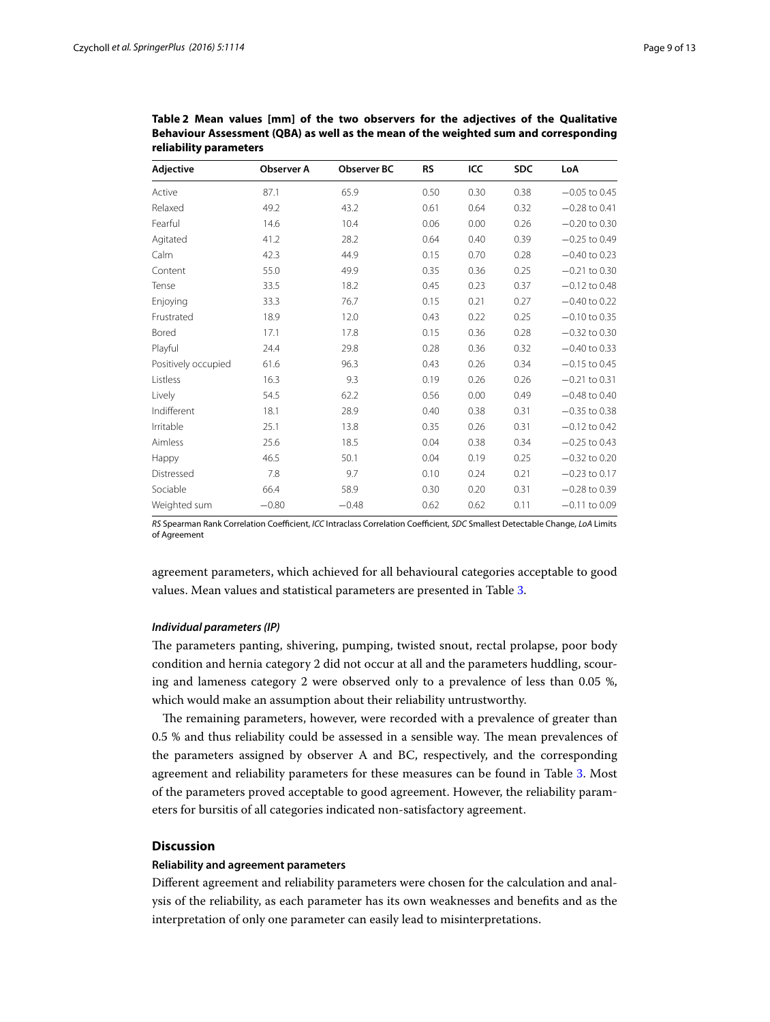| Adjective           | <b>Observer A</b> | <b>Observer BC</b> | <b>RS</b> | ICC  | <b>SDC</b> | LoA             |
|---------------------|-------------------|--------------------|-----------|------|------------|-----------------|
| Active              | 87.1              | 65.9               | 0.50      | 0.30 | 0.38       | $-0.05$ to 0.45 |
| Relaxed             | 49.2              | 43.2               | 0.61      | 0.64 | 0.32       | $-0.28$ to 0.41 |
| Fearful             | 14.6              | 10.4               | 0.06      | 0.00 | 0.26       | $-0.20$ to 0.30 |
| Agitated            | 41.2              | 28.2               | 0.64      | 0.40 | 0.39       | $-0.25$ to 0.49 |
| Calm                | 42.3              | 44.9               | 0.15      | 0.70 | 0.28       | $-0.40$ to 0.23 |
| Content             | 55.0              | 49.9               | 0.35      | 0.36 | 0.25       | $-0.21$ to 0.30 |
| Tense               | 33.5              | 18.2               | 0.45      | 0.23 | 0.37       | $-0.12$ to 0.48 |
| Enjoying            | 33.3              | 76.7               | 0.15      | 0.21 | 0.27       | $-0.40$ to 0.22 |
| Frustrated          | 18.9              | 12.0               | 0.43      | 0.22 | 0.25       | $-0.10$ to 0.35 |
| Bored               | 17.1              | 17.8               | 0.15      | 0.36 | 0.28       | $-0.32$ to 0.30 |
| Playful             | 24.4              | 29.8               | 0.28      | 0.36 | 0.32       | $-0.40$ to 0.33 |
| Positively occupied | 61.6              | 96.3               | 0.43      | 0.26 | 0.34       | $-0.15$ to 0.45 |
| Listless            | 16.3              | 9.3                | 0.19      | 0.26 | 0.26       | $-0.21$ to 0.31 |
| Lively              | 54.5              | 62.2               | 0.56      | 0.00 | 0.49       | $-0.48$ to 0.40 |
| Indifferent         | 18.1              | 28.9               | 0.40      | 0.38 | 0.31       | $-0.35$ to 0.38 |
| Irritable           | 25.1              | 13.8               | 0.35      | 0.26 | 0.31       | $-0.12$ to 0.42 |
| Aimless             | 25.6              | 18.5               | 0.04      | 0.38 | 0.34       | $-0.25$ to 0.43 |
| Happy               | 46.5              | 50.1               | 0.04      | 0.19 | 0.25       | $-0.32$ to 0.20 |
| Distressed          | 7.8               | 9.7                | 0.10      | 0.24 | 0.21       | $-0.23$ to 0.17 |
| Sociable            | 66.4              | 58.9               | 0.30      | 0.20 | 0.31       | $-0.28$ to 0.39 |
| Weighted sum        | $-0.80$           | $-0.48$            | 0.62      | 0.62 | 0.11       | $-0.11$ to 0.09 |

<span id="page-8-0"></span>**Table 2 Mean values [mm] of the two observers for the adjectives of the Qualitative Behaviour Assessment (QBA) as well as the mean of the weighted sum and corresponding reliability parameters**

*RS* Spearman Rank Correlation Coefficient, *ICC* Intraclass Correlation Coefficient, *SDC* Smallest Detectable Change, *LoA* Limits of Agreement

agreement parameters, which achieved for all behavioural categories acceptable to good values. Mean values and statistical parameters are presented in Table [3](#page-9-0).

#### *Individual parameters (IP)*

The parameters panting, shivering, pumping, twisted snout, rectal prolapse, poor body condition and hernia category 2 did not occur at all and the parameters huddling, scouring and lameness category 2 were observed only to a prevalence of less than 0.05 %, which would make an assumption about their reliability untrustworthy.

The remaining parameters, however, were recorded with a prevalence of greater than 0.5 % and thus reliability could be assessed in a sensible way. The mean prevalences of the parameters assigned by observer A and BC, respectively, and the corresponding agreement and reliability parameters for these measures can be found in Table [3](#page-9-0). Most of the parameters proved acceptable to good agreement. However, the reliability parameters for bursitis of all categories indicated non-satisfactory agreement.

### **Discussion**

#### **Reliability and agreement parameters**

Different agreement and reliability parameters were chosen for the calculation and analysis of the reliability, as each parameter has its own weaknesses and benefits and as the interpretation of only one parameter can easily lead to misinterpretations.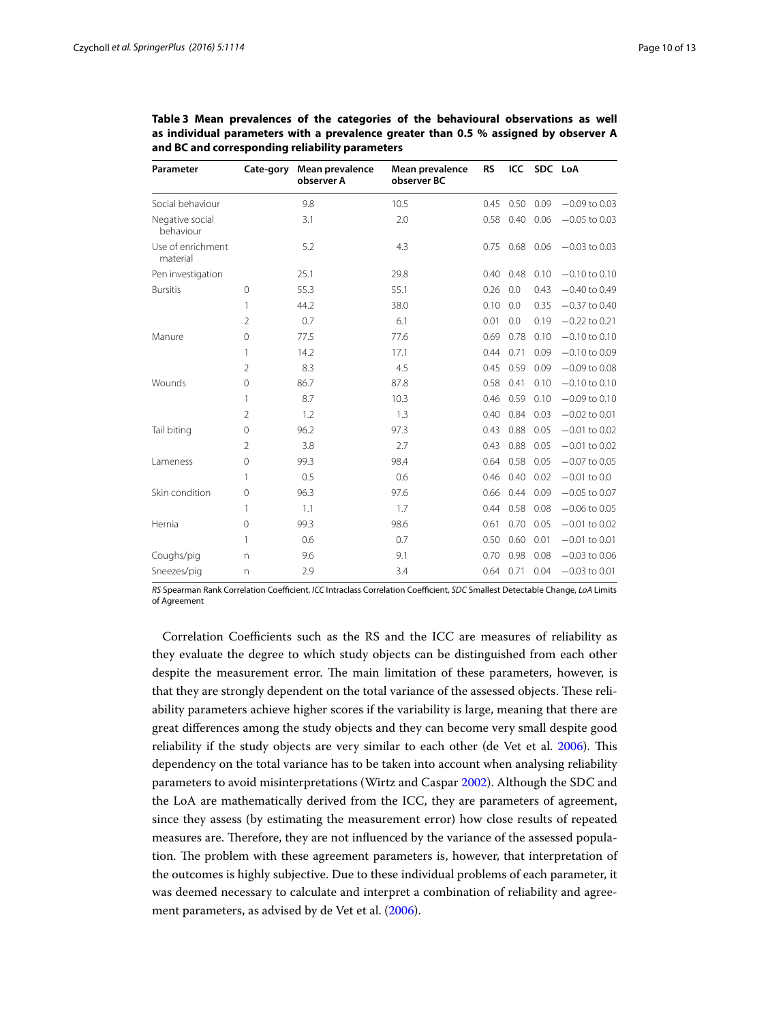| Parameter                     | Cate-gory      | Mean prevalence<br>observer A | Mean prevalence<br>observer BC | <b>RS</b> | ICC  | SDC LoA |                 |
|-------------------------------|----------------|-------------------------------|--------------------------------|-----------|------|---------|-----------------|
| Social behaviour              |                | 9.8                           | 10.5                           | 0.45      | 0.50 | 0.09    | $-0.09$ to 0.03 |
| Negative social<br>behaviour  |                | 3.1                           | 2.0                            | 0.58      | 0.40 | 0.06    | $-0.05$ to 0.03 |
| Use of enrichment<br>material |                | 5.2                           | 4.3                            | 0.75      | 0.68 | 0.06    | $-0.03$ to 0.03 |
| Pen investigation             |                | 25.1                          | 29.8                           | 0.40      | 0.48 | 0.10    | $-0.10$ to 0.10 |
| <b>Bursitis</b>               | $\mathbf{0}$   | 55.3                          | 55.1                           | 0.26      | 0.0  | 0.43    | $-0.40$ to 0.49 |
|                               | 1              | 44.2                          | 38.0                           | 0.10      | 0.0  | 0.35    | $-0.37$ to 0.40 |
|                               | $\overline{2}$ | 0.7                           | 6.1                            | 0.01      | 0.0  | 0.19    | $-0.22$ to 0.21 |
| Manure                        | $\overline{0}$ | 77.5                          | 77.6                           | 0.69      | 0.78 | 0.10    | $-0.10$ to 0.10 |
|                               | 1              | 14.2                          | 17.1                           | 0.44      | 0.71 | 0.09    | $-0.10$ to 0.09 |
|                               | 2              | 8.3                           | 4.5                            | 0.45      | 0.59 | 0.09    | $-0.09$ to 0.08 |
| Wounds                        | 0              | 86.7                          | 87.8                           | 0.58      | 0.41 | 0.10    | $-0.10$ to 0.10 |
|                               | 1              | 8.7                           | 10.3                           | 0.46      | 0.59 | 0.10    | $-0.09$ to 0.10 |
|                               | $\mathfrak{D}$ | 1.2                           | 1.3                            | 0.40      | 0.84 | 0.03    | $-0.02$ to 0.01 |
| Tail biting                   | 0              | 96.2                          | 97.3                           | 0.43      | 0.88 | 0.05    | $-0.01$ to 0.02 |
|                               | $\overline{2}$ | 3.8                           | 2.7                            | 0.43      | 0.88 | 0.05    | $-0.01$ to 0.02 |
| Lameness                      | 0              | 99.3                          | 98.4                           | 0.64      | 0.58 | 0.05    | $-0.07$ to 0.05 |
|                               | 1              | 0.5                           | 0.6                            | 0.46      | 0.40 | 0.02    | $-0.01$ to 0.0  |
| Skin condition                | 0              | 96.3                          | 97.6                           | 0.66      | 0.44 | 0.09    | $-0.05$ to 0.07 |
|                               | 1              | 1.1                           | 1.7                            | 0.44      | 0.58 | 0.08    | $-0.06$ to 0.05 |
| Hernia                        | 0              | 99.3                          | 98.6                           | 0.61      | 0.70 | 0.05    | $-0.01$ to 0.02 |
|                               | 1              | 0.6                           | 0.7                            | 0.50      | 0.60 | 0.01    | $-0.01$ to 0.01 |
| Coughs/pig                    | n              | 9.6                           | 9.1                            | 0.70      | 0.98 | 0.08    | $-0.03$ to 0.06 |
| Sneezes/pig                   | n              | 2.9                           | 3.4                            | 0.64      | 0.71 | 0.04    | $-0.03$ to 0.01 |

<span id="page-9-0"></span>**Table 3 Mean prevalences of the categories of the behavioural observations as well as individual parameters with a prevalence greater than 0.5 % assigned by observer A and BC and corresponding reliability parameters**

*RS* Spearman Rank Correlation Coefficient, *ICC* Intraclass Correlation Coefficient, *SDC* Smallest Detectable Change, *LoA* Limits of Agreement

Correlation Coefficients such as the RS and the ICC are measures of reliability as they evaluate the degree to which study objects can be distinguished from each other despite the measurement error. The main limitation of these parameters, however, is that they are strongly dependent on the total variance of the assessed objects. These reliability parameters achieve higher scores if the variability is large, meaning that there are great differences among the study objects and they can become very small despite good reliability if the study objects are very similar to each other (de Vet et al. [2006](#page-12-10)). This dependency on the total variance has to be taken into account when analysing reliability parameters to avoid misinterpretations (Wirtz and Caspar [2002\)](#page-12-24). Although the SDC and the LoA are mathematically derived from the ICC, they are parameters of agreement, since they assess (by estimating the measurement error) how close results of repeated measures are. Therefore, they are not influenced by the variance of the assessed population. The problem with these agreement parameters is, however, that interpretation of the outcomes is highly subjective. Due to these individual problems of each parameter, it was deemed necessary to calculate and interpret a combination of reliability and agreement parameters, as advised by de Vet et al. ([2006](#page-12-10)).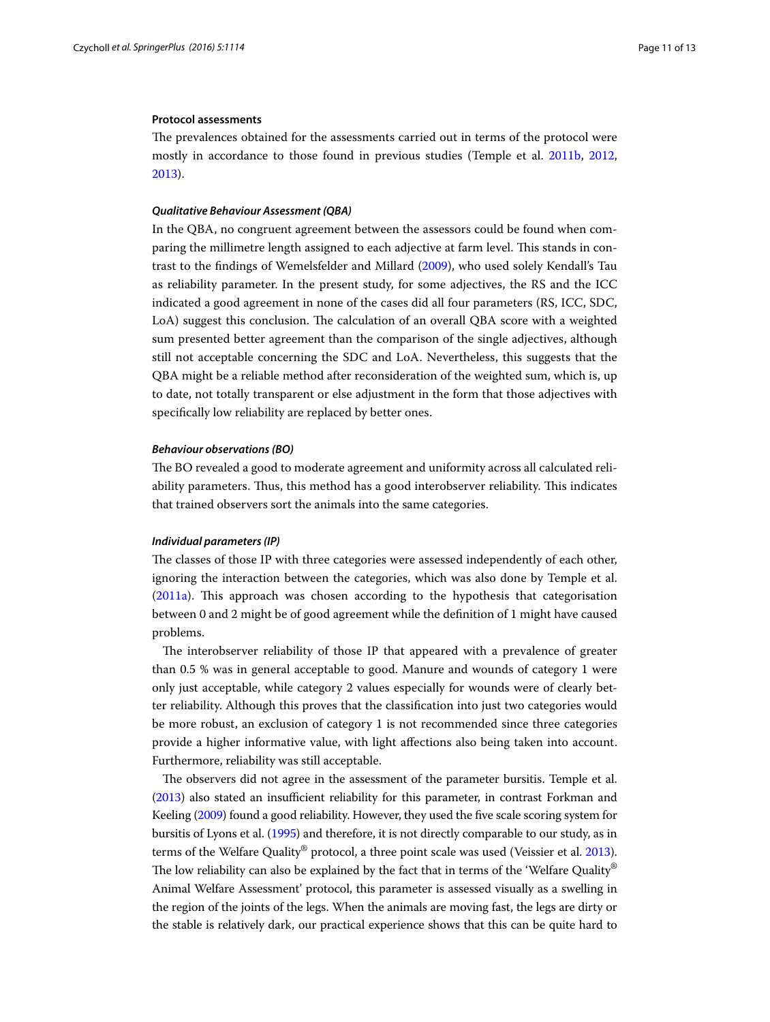#### **Protocol assessments**

The prevalences obtained for the assessments carried out in terms of the protocol were mostly in accordance to those found in previous studies (Temple et al. [2011b](#page-12-25), [2012](#page-12-13), [2013](#page-12-11)).

#### *Qualitative Behaviour Assessment (QBA)*

In the QBA, no congruent agreement between the assessors could be found when comparing the millimetre length assigned to each adjective at farm level. This stands in contrast to the findings of Wemelsfelder and Millard ([2009](#page-12-26)), who used solely Kendall's Tau as reliability parameter. In the present study, for some adjectives, the RS and the ICC indicated a good agreement in none of the cases did all four parameters (RS, ICC, SDC, LoA) suggest this conclusion. The calculation of an overall QBA score with a weighted sum presented better agreement than the comparison of the single adjectives, although still not acceptable concerning the SDC and LoA. Nevertheless, this suggests that the QBA might be a reliable method after reconsideration of the weighted sum, which is, up to date, not totally transparent or else adjustment in the form that those adjectives with specifically low reliability are replaced by better ones.

#### *Behaviour observations (BO)*

The BO revealed a good to moderate agreement and uniformity across all calculated reliability parameters. Thus, this method has a good interobserver reliability. This indicates that trained observers sort the animals into the same categories.

#### *Individual parameters (IP)*

The classes of those IP with three categories were assessed independently of each other, ignoring the interaction between the categories, which was also done by Temple et al. ([2011a\)](#page-12-3). This approach was chosen according to the hypothesis that categorisation between 0 and 2 might be of good agreement while the definition of 1 might have caused problems.

The interobserver reliability of those IP that appeared with a prevalence of greater than 0.5 % was in general acceptable to good. Manure and wounds of category 1 were only just acceptable, while category 2 values especially for wounds were of clearly better reliability. Although this proves that the classification into just two categories would be more robust, an exclusion of category 1 is not recommended since three categories provide a higher informative value, with light affections also being taken into account. Furthermore, reliability was still acceptable.

The observers did not agree in the assessment of the parameter bursitis. Temple et al. ([2013](#page-12-11)) also stated an insufficient reliability for this parameter, in contrast Forkman and Keeling [\(2009](#page-12-14)) found a good reliability. However, they used the five scale scoring system for bursitis of Lyons et al. [\(1995](#page-12-27)) and therefore, it is not directly comparable to our study, as in terms of the Welfare Quality® protocol, a three point scale was used (Veissier et al. [2013](#page-12-28)). The low reliability can also be explained by the fact that in terms of the 'Welfare Quality<sup>®</sup> Animal Welfare Assessment' protocol, this parameter is assessed visually as a swelling in the region of the joints of the legs. When the animals are moving fast, the legs are dirty or the stable is relatively dark, our practical experience shows that this can be quite hard to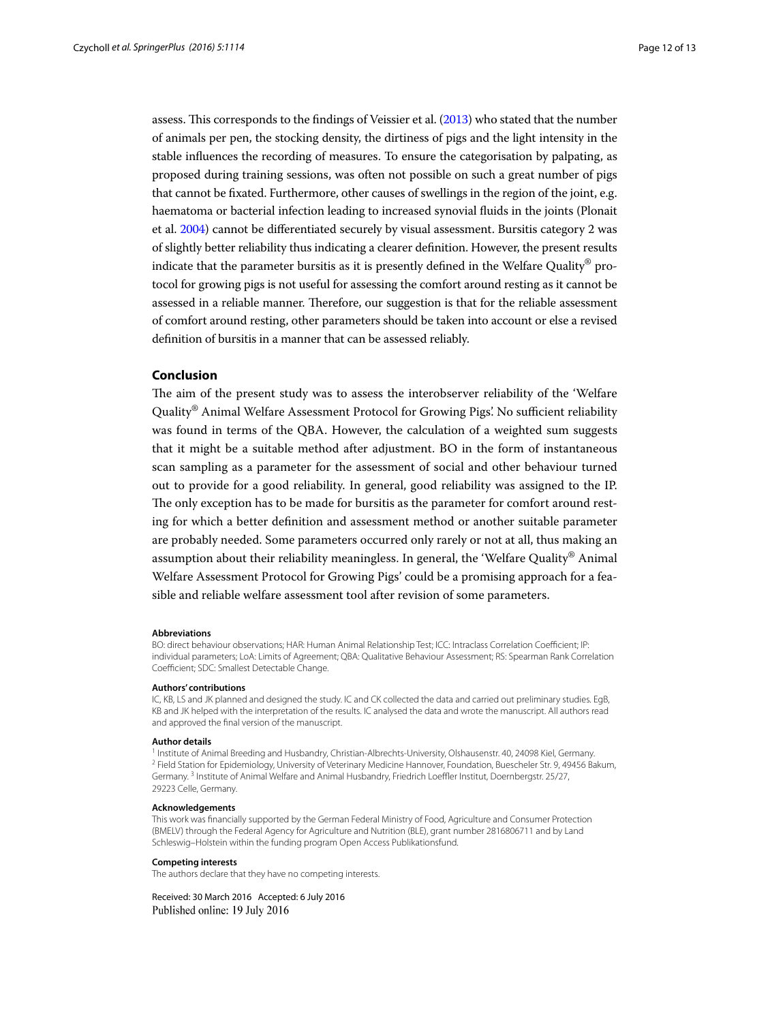assess. This corresponds to the findings of Veissier et al. [\(2013](#page-12-28)) who stated that the number of animals per pen, the stocking density, the dirtiness of pigs and the light intensity in the stable influences the recording of measures. To ensure the categorisation by palpating, as proposed during training sessions, was often not possible on such a great number of pigs that cannot be fixated. Furthermore, other causes of swellings in the region of the joint, e.g. haematoma or bacterial infection leading to increased synovial fluids in the joints (Plonait et al. [2004\)](#page-12-29) cannot be differentiated securely by visual assessment. Bursitis category 2 was of slightly better reliability thus indicating a clearer definition. However, the present results indicate that the parameter bursitis as it is presently defined in the Welfare Quality® protocol for growing pigs is not useful for assessing the comfort around resting as it cannot be assessed in a reliable manner. Therefore, our suggestion is that for the reliable assessment of comfort around resting, other parameters should be taken into account or else a revised definition of bursitis in a manner that can be assessed reliably.

### **Conclusion**

The aim of the present study was to assess the interobserver reliability of the 'Welfare Quality® Animal Welfare Assessment Protocol for Growing Pigs'. No sufficient reliability was found in terms of the QBA. However, the calculation of a weighted sum suggests that it might be a suitable method after adjustment. BO in the form of instantaneous scan sampling as a parameter for the assessment of social and other behaviour turned out to provide for a good reliability. In general, good reliability was assigned to the IP. The only exception has to be made for bursitis as the parameter for comfort around resting for which a better definition and assessment method or another suitable parameter are probably needed. Some parameters occurred only rarely or not at all, thus making an assumption about their reliability meaningless. In general, the 'Welfare Quality® Animal Welfare Assessment Protocol for Growing Pigs' could be a promising approach for a feasible and reliable welfare assessment tool after revision of some parameters.

#### **Abbreviations**

BO: direct behaviour observations; HAR: Human Animal Relationship Test; ICC: Intraclass Correlation Coefficient; IP: individual parameters; LoA: Limits of Agreement; QBA: Qualitative Behaviour Assessment; RS: Spearman Rank Correlation Coefficient; SDC: Smallest Detectable Change.

#### **Authors' contributions**

IC, KB, LS and JK planned and designed the study. IC and CK collected the data and carried out preliminary studies. EgB, KB and JK helped with the interpretation of the results. IC analysed the data and wrote the manuscript. All authors read and approved the final version of the manuscript.

**Author details**<br><sup>1</sup> Institute of Animal Breeding and Husbandry, Christian-Albrechts-University, Olshausenstr. 40, 24098 Kiel, Germany. <sup>2</sup> Field Station for Epidemiology, University of Veterinary Medicine Hannover, Foundation, Buescheler Str. 9, 49456 Bakum, Germany. 3 Institute of Animal Welfare and Animal Husbandry, Friedrich Loeffler Institut, Doernbergstr. 25/27, 29223 Celle, Germany.

#### **Acknowledgements**

This work was financially supported by the German Federal Ministry of Food, Agriculture and Consumer Protection (BMELV) through the Federal Agency for Agriculture and Nutrition (BLE), grant number 2816806711 and by Land Schleswig–Holstein within the funding program Open Access Publikationsfund.

#### **Competing interests**

The authors declare that they have no competing interests.

Received: 30 March 2016 Accepted: 6 July 2016Published online: 19 July 2016